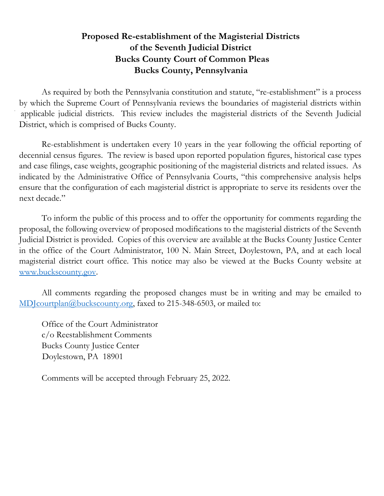## **Proposed Re-establishment of the Magisterial Districts of the Seventh Judicial District Bucks County Court of Common Pleas Bucks County, Pennsylvania**

As required by both the Pennsylvania constitution and statute, "re-establishment" is a process by which the Supreme Court of Pennsylvania reviews the boundaries of magisterial districts within applicable judicial districts. This review includes the magisterial districts of the Seventh Judicial District, which is comprised of Bucks County.

Re-establishment is undertaken every 10 years in the year following the official reporting of decennial census figures. The review is based upon reported population figures, historical case types and case filings, case weights, geographic positioning of the magisterial districts and related issues. As indicated by the Administrative Office of Pennsylvania Courts, "this comprehensive analysis helps ensure that the configuration of each magisterial district is appropriate to serve its residents over the next decade."

To inform the public of this process and to offer the opportunity for comments regarding the proposal, the following overview of proposed modifications to the magisterial districts of the Seventh Judicial District is provided. Copies of this overview are available at the Bucks County Justice Center in the office of the Court Administrator, 100 N. Main Street, Doylestown, PA, and at each local magisterial district court office. This notice may also be viewed at the Bucks County website at [www.buckscounty.gov.](http://www.buckscounty.gov/)

All comments regarding the proposed changes must be in writing and may be emailed to [MDJcourtplan@buckscounty.org,](mailto:MDJcourtplan@buckscounty.org) faxed to 215-348-6503, or mailed to:

Office of the Court Administrator c/o Reestablishment Comments Bucks County Justice Center Doylestown, PA 18901

Comments will be accepted through February 25, 2022.